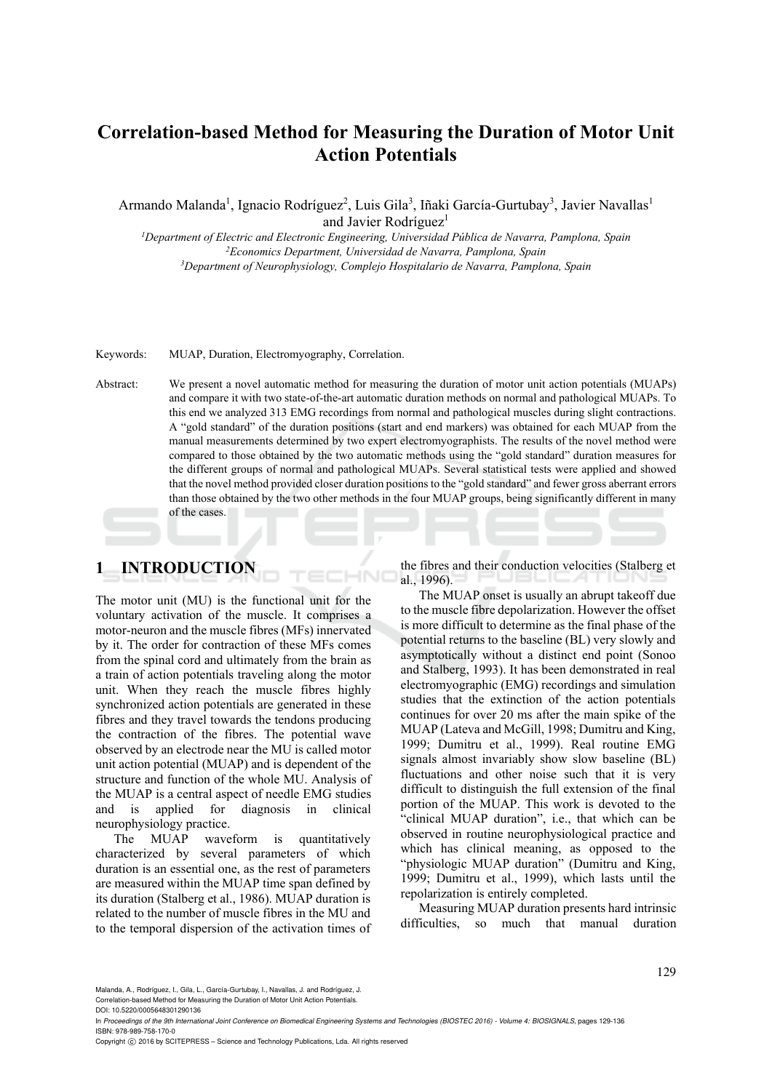# **Correlation-based Method for Measuring the Duration of Motor Unit Action Potentials**

Armando Malanda<sup>1</sup>, Ignacio Rodríguez<sup>2</sup>, Luis Gila<sup>3</sup>, Iñaki García-Gurtubay<sup>3</sup>, Javier Navallas<sup>1</sup> and Javier Rodríguez<sup>1</sup>

*1Department of Electric and Electronic Engineering, Universidad Pública de Navarra, Pamplona, Spain 2 Economics Department, Universidad de Navarra, Pamplona, Spain 3*

*Department of Neurophysiology, Complejo Hospitalario de Navarra, Pamplona, Spain* 

Keywords: MUAP, Duration, Electromyography, Correlation.

Abstract: We present a novel automatic method for measuring the duration of motor unit action potentials (MUAPs) and compare it with two state-of-the-art automatic duration methods on normal and pathological MUAPs. To this end we analyzed 313 EMG recordings from normal and pathological muscles during slight contractions. A "gold standard" of the duration positions (start and end markers) was obtained for each MUAP from the manual measurements determined by two expert electromyographists. The results of the novel method were compared to those obtained by the two automatic methods using the "gold standard" duration measures for the different groups of normal and pathological MUAPs. Several statistical tests were applied and showed that the novel method provided closer duration positions to the "gold standard" and fewer gross aberrant errors than those obtained by the two other methods in the four MUAP groups, being significantly different in many of the cases.

# **1 INTRODUCTION**

The motor unit (MU) is the functional unit for the voluntary activation of the muscle. It comprises a motor-neuron and the muscle fibres (MFs) innervated by it. The order for contraction of these MFs comes from the spinal cord and ultimately from the brain as a train of action potentials traveling along the motor unit. When they reach the muscle fibres highly synchronized action potentials are generated in these fibres and they travel towards the tendons producing the contraction of the fibres. The potential wave observed by an electrode near the MU is called motor unit action potential (MUAP) and is dependent of the structure and function of the whole MU. Analysis of the MUAP is a central aspect of needle EMG studies and is applied for diagnosis in clinical neurophysiology practice.

The MUAP waveform is quantitatively characterized by several parameters of which duration is an essential one, as the rest of parameters are measured within the MUAP time span defined by its duration (Stalberg et al., 1986). MUAP duration is related to the number of muscle fibres in the MU and to the temporal dispersion of the activation times of

the fibres and their conduction velocities (Stalberg et al., 1996).

The MUAP onset is usually an abrupt takeoff due to the muscle fibre depolarization. However the offset is more difficult to determine as the final phase of the potential returns to the baseline (BL) very slowly and asymptotically without a distinct end point (Sonoo and Stalberg, 1993). It has been demonstrated in real electromyographic (EMG) recordings and simulation studies that the extinction of the action potentials continues for over 20 ms after the main spike of the MUAP (Lateva and McGill, 1998; Dumitru and King, 1999; Dumitru et al., 1999). Real routine EMG signals almost invariably show slow baseline (BL) fluctuations and other noise such that it is very difficult to distinguish the full extension of the final portion of the MUAP. This work is devoted to the "clinical MUAP duration", i.e., that which can be observed in routine neurophysiological practice and which has clinical meaning, as opposed to the "physiologic MUAP duration" (Dumitru and King, 1999; Dumitru et al., 1999), which lasts until the repolarization is entirely completed.

Measuring MUAP duration presents hard intrinsic difficulties, so much that manual duration

Correlation-based Method for Measuring the Duration of Motor Unit Action Potentials.

Malanda, A., Rodríguez, I., Gila, L., García-Gurtubay, I., Navallas, J. and Rodríguez, J.

DOI: 10.5220/0005648301290136

In *Proceedings of the 9th International Joint Conference on Biomedical Engineering Systems and Technologies (BIOSTEC 2016) - Volume 4: BIOSIGNALS*, pages 129-136 ISBN: 978-989-758-170-0

Copyright (C) 2016 by SCITEPRESS - Science and Technology Publications, Lda. All rights reserved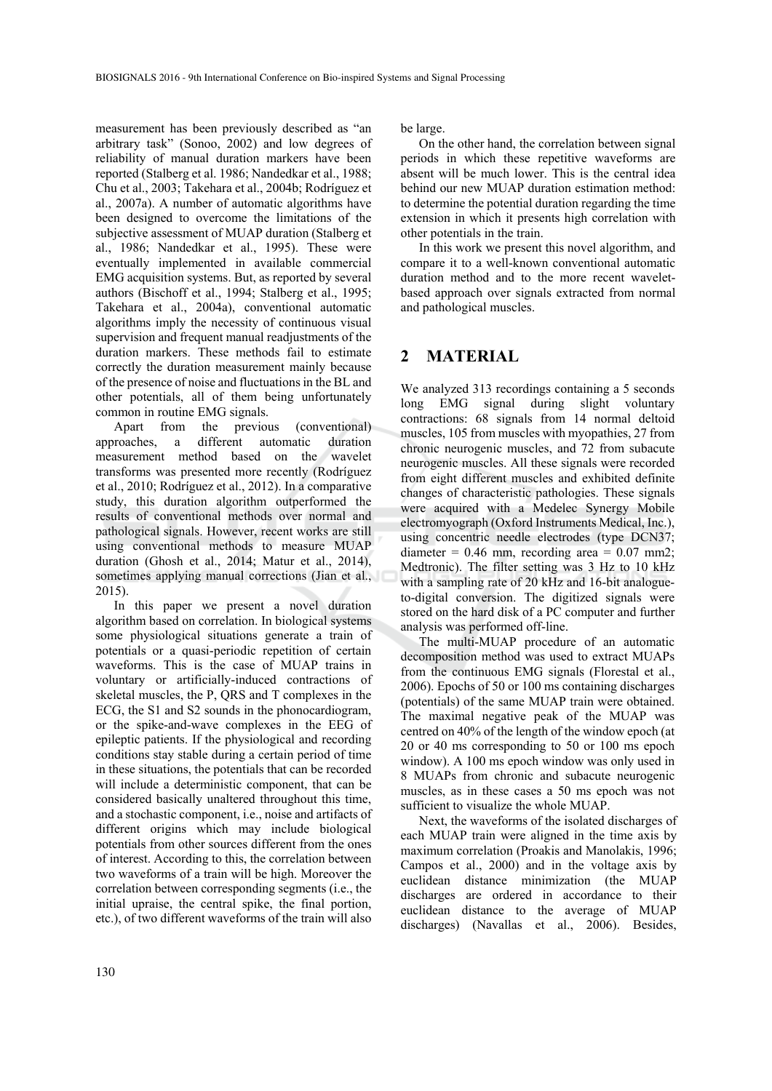measurement has been previously described as "an arbitrary task" (Sonoo, 2002) and low degrees of reliability of manual duration markers have been reported (Stalberg et al. 1986; Nandedkar et al., 1988; Chu et al., 2003; Takehara et al., 2004b; Rodríguez et al., 2007a). A number of automatic algorithms have been designed to overcome the limitations of the subjective assessment of MUAP duration (Stalberg et al., 1986; Nandedkar et al., 1995). These were eventually implemented in available commercial EMG acquisition systems. But, as reported by several authors (Bischoff et al., 1994; Stalberg et al., 1995; Takehara et al., 2004a), conventional automatic algorithms imply the necessity of continuous visual supervision and frequent manual readjustments of the duration markers. These methods fail to estimate correctly the duration measurement mainly because of the presence of noise and fluctuations in the BL and other potentials, all of them being unfortunately common in routine EMG signals.

Apart from the previous (conventional) approaches, a different automatic duration measurement method based on the wavelet transforms was presented more recently (Rodríguez et al., 2010; Rodríguez et al., 2012). In a comparative study, this duration algorithm outperformed the results of conventional methods over normal and pathological signals. However, recent works are still using conventional methods to measure MUAP duration (Ghosh et al., 2014; Matur et al., 2014), sometimes applying manual corrections (Jian et al., 2015).

In this paper we present a novel duration algorithm based on correlation. In biological systems some physiological situations generate a train of potentials or a quasi-periodic repetition of certain waveforms. This is the case of MUAP trains in voluntary or artificially-induced contractions of skeletal muscles, the P, QRS and T complexes in the ECG, the S1 and S2 sounds in the phonocardiogram, or the spike-and-wave complexes in the EEG of epileptic patients. If the physiological and recording conditions stay stable during a certain period of time in these situations, the potentials that can be recorded will include a deterministic component, that can be considered basically unaltered throughout this time, and a stochastic component, i.e., noise and artifacts of different origins which may include biological potentials from other sources different from the ones of interest. According to this, the correlation between two waveforms of a train will be high. Moreover the correlation between corresponding segments (i.e., the initial upraise, the central spike, the final portion, etc.), of two different waveforms of the train will also be large.

On the other hand, the correlation between signal periods in which these repetitive waveforms are absent will be much lower. This is the central idea behind our new MUAP duration estimation method: to determine the potential duration regarding the time extension in which it presents high correlation with other potentials in the train.

In this work we present this novel algorithm, and compare it to a well-known conventional automatic duration method and to the more recent waveletbased approach over signals extracted from normal and pathological muscles.

## **2 MATERIAL**

We analyzed 313 recordings containing a 5 seconds long EMG signal during slight voluntary contractions: 68 signals from 14 normal deltoid muscles, 105 from muscles with myopathies, 27 from chronic neurogenic muscles, and 72 from subacute neurogenic muscles. All these signals were recorded from eight different muscles and exhibited definite changes of characteristic pathologies. These signals were acquired with a Medelec Synergy Mobile electromyograph (Oxford Instruments Medical, Inc.), using concentric needle electrodes (type DCN37; diameter =  $0.46$  mm, recording area =  $0.07$  mm2; Medtronic). The filter setting was 3 Hz to 10 kHz with a sampling rate of 20 kHz and 16-bit analogueto-digital conversion. The digitized signals were stored on the hard disk of a PC computer and further analysis was performed off-line.

The multi-MUAP procedure of an automatic decomposition method was used to extract MUAPs from the continuous EMG signals (Florestal et al., 2006). Epochs of 50 or 100 ms containing discharges (potentials) of the same MUAP train were obtained. The maximal negative peak of the MUAP was centred on 40% of the length of the window epoch (at 20 or 40 ms corresponding to 50 or 100 ms epoch window). A 100 ms epoch window was only used in 8 MUAPs from chronic and subacute neurogenic muscles, as in these cases a 50 ms epoch was not sufficient to visualize the whole MUAP.

Next, the waveforms of the isolated discharges of each MUAP train were aligned in the time axis by maximum correlation (Proakis and Manolakis, 1996; Campos et al., 2000) and in the voltage axis by euclidean distance minimization (the MUAP discharges are ordered in accordance to their euclidean distance to the average of MUAP discharges) (Navallas et al., 2006). Besides,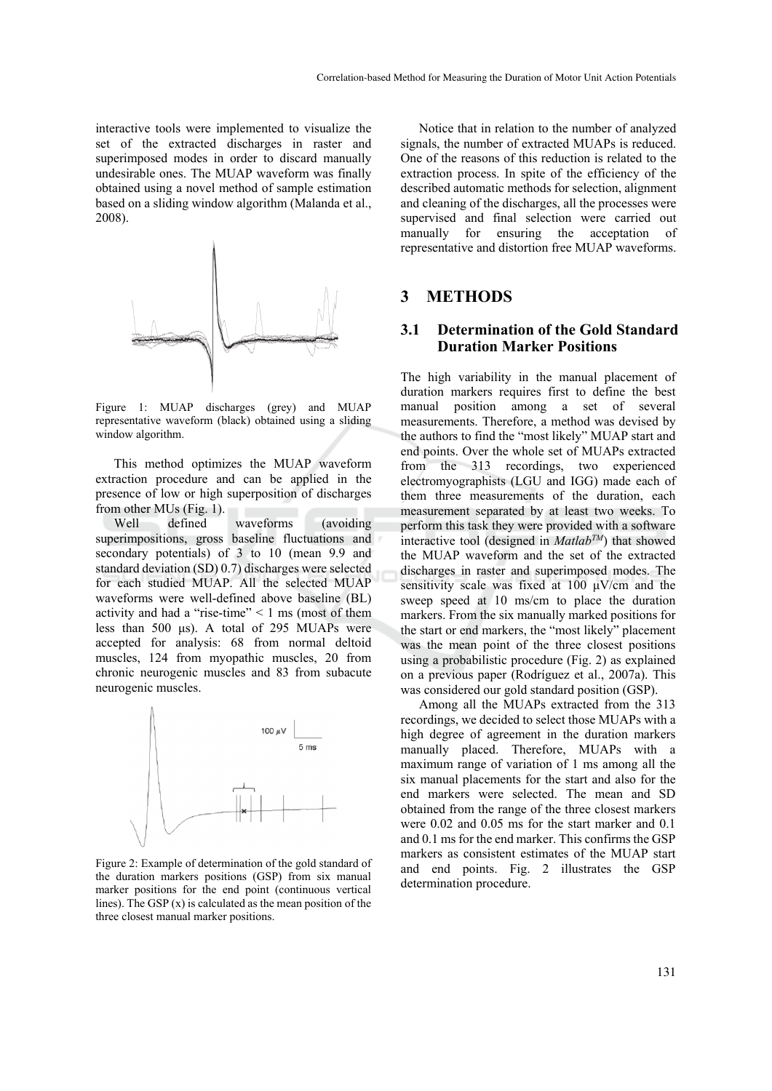interactive tools were implemented to visualize the set of the extracted discharges in raster and superimposed modes in order to discard manually undesirable ones. The MUAP waveform was finally obtained using a novel method of sample estimation based on a sliding window algorithm (Malanda et al., 2008).



Figure 1: MUAP discharges (grey) and MUAP representative waveform (black) obtained using a sliding window algorithm.

This method optimizes the MUAP waveform extraction procedure and can be applied in the presence of low or high superposition of discharges from other MUs (Fig. 1).

Well defined waveforms (avoiding superimpositions, gross baseline fluctuations and secondary potentials) of 3 to 10 (mean 9.9 and standard deviation (SD) 0.7) discharges were selected for each studied MUAP. All the selected MUAP waveforms were well-defined above baseline (BL) activity and had a "rise-time" < 1 ms (most of them less than 500 μs). A total of 295 MUAPs were accepted for analysis: 68 from normal deltoid muscles, 124 from myopathic muscles, 20 from chronic neurogenic muscles and 83 from subacute neurogenic muscles.



Figure 2: Example of determination of the gold standard of the duration markers positions (GSP) from six manual marker positions for the end point (continuous vertical lines). The GSP (x) is calculated as the mean position of the three closest manual marker positions.

Notice that in relation to the number of analyzed signals, the number of extracted MUAPs is reduced. One of the reasons of this reduction is related to the extraction process. In spite of the efficiency of the described automatic methods for selection, alignment and cleaning of the discharges, all the processes were supervised and final selection were carried out manually for ensuring the acceptation of representative and distortion free MUAP waveforms.

## **3 METHODS**

### **3.1 Determination of the Gold Standard Duration Marker Positions**

The high variability in the manual placement of duration markers requires first to define the best manual position among a set of several measurements. Therefore, a method was devised by the authors to find the "most likely" MUAP start and end points. Over the whole set of MUAPs extracted from the 313 recordings, two experienced electromyographists (LGU and IGG) made each of them three measurements of the duration, each measurement separated by at least two weeks. To perform this task they were provided with a software interactive tool (designed in *MatlabTM*) that showed the MUAP waveform and the set of the extracted discharges in raster and superimposed modes. The sensitivity scale was fixed at 100  $\mu$ V/cm and the sweep speed at 10 ms/cm to place the duration markers. From the six manually marked positions for the start or end markers, the "most likely" placement was the mean point of the three closest positions using a probabilistic procedure (Fig. 2) as explained on a previous paper (Rodríguez et al., 2007a). This was considered our gold standard position (GSP).

Among all the MUAPs extracted from the 313 recordings, we decided to select those MUAPs with a high degree of agreement in the duration markers manually placed. Therefore, MUAPs with a maximum range of variation of 1 ms among all the six manual placements for the start and also for the end markers were selected. The mean and SD obtained from the range of the three closest markers were 0.02 and 0.05 ms for the start marker and 0.1 and 0.1 ms for the end marker. This confirms the GSP markers as consistent estimates of the MUAP start and end points. Fig. 2 illustrates the GSP determination procedure.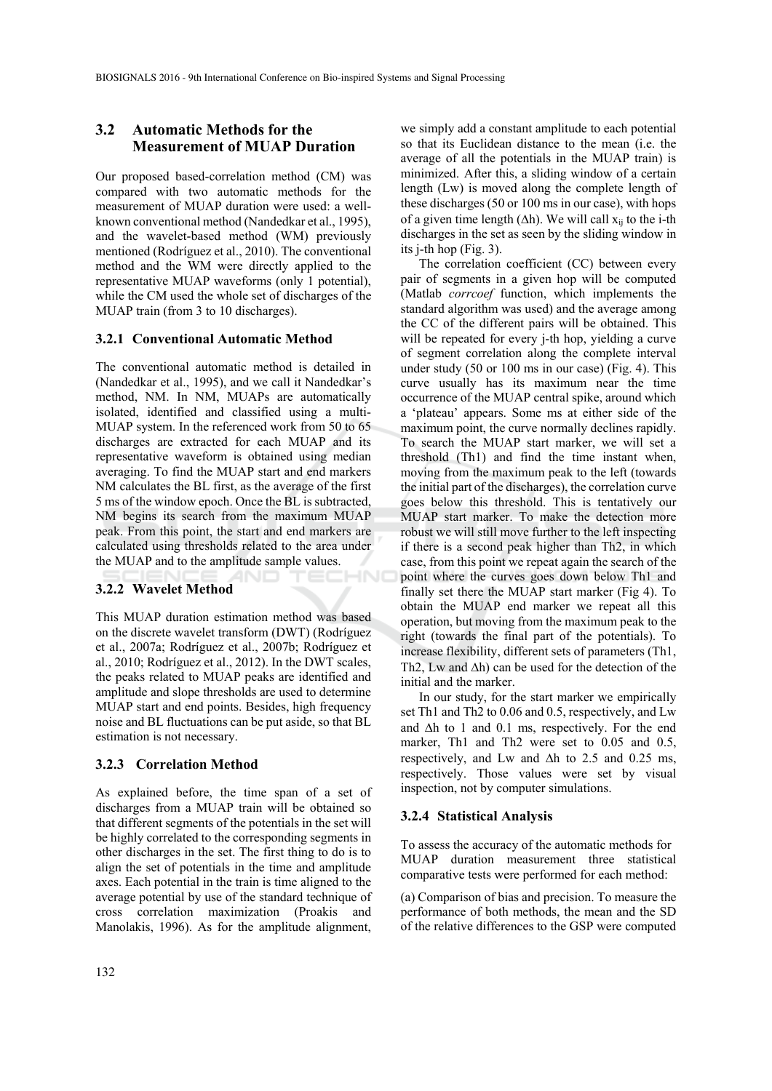## **3.2 Automatic Methods for the Measurement of MUAP Duration**

Our proposed based-correlation method (CM) was compared with two automatic methods for the measurement of MUAP duration were used: a wellknown conventional method (Nandedkar et al., 1995), and the wavelet-based method (WM) previously mentioned (Rodríguez et al., 2010). The conventional method and the WM were directly applied to the representative MUAP waveforms (only 1 potential), while the CM used the whole set of discharges of the MUAP train (from 3 to 10 discharges).

#### **3.2.1 Conventional Automatic Method**

The conventional automatic method is detailed in (Nandedkar et al., 1995), and we call it Nandedkar's method, NM. In NM, MUAPs are automatically isolated, identified and classified using a multi-MUAP system. In the referenced work from 50 to 65 discharges are extracted for each MUAP and its representative waveform is obtained using median averaging. To find the MUAP start and end markers NM calculates the BL first, as the average of the first 5 ms of the window epoch. Once the BL is subtracted, NM begins its search from the maximum MUAP peak. From this point, the start and end markers are calculated using thresholds related to the area under the MUAP and to the amplitude sample values. ECHNO

#### **3.2.2 Wavelet Method**

This MUAP duration estimation method was based on the discrete wavelet transform (DWT) (Rodríguez et al., 2007a; Rodríguez et al., 2007b; Rodríguez et al., 2010; Rodríguez et al., 2012). In the DWT scales, the peaks related to MUAP peaks are identified and amplitude and slope thresholds are used to determine MUAP start and end points. Besides, high frequency noise and BL fluctuations can be put aside, so that BL estimation is not necessary.

#### **3.2.3 Correlation Method**

As explained before, the time span of a set of discharges from a MUAP train will be obtained so that different segments of the potentials in the set will be highly correlated to the corresponding segments in other discharges in the set. The first thing to do is to align the set of potentials in the time and amplitude axes. Each potential in the train is time aligned to the average potential by use of the standard technique of cross correlation maximization (Proakis and Manolakis, 1996). As for the amplitude alignment,

we simply add a constant amplitude to each potential so that its Euclidean distance to the mean (i.e. the average of all the potentials in the MUAP train) is minimized. After this, a sliding window of a certain length (Lw) is moved along the complete length of these discharges (50 or 100 ms in our case), with hops of a given time length ( $\Delta h$ ). We will call  $x_{ii}$  to the i-th discharges in the set as seen by the sliding window in its j-th hop (Fig. 3).

The correlation coefficient (CC) between every pair of segments in a given hop will be computed (Matlab *corrcoef* function, which implements the standard algorithm was used) and the average among the CC of the different pairs will be obtained. This will be repeated for every j-th hop, yielding a curve of segment correlation along the complete interval under study (50 or 100 ms in our case) (Fig. 4). This curve usually has its maximum near the time occurrence of the MUAP central spike, around which a 'plateau' appears. Some ms at either side of the maximum point, the curve normally declines rapidly. To search the MUAP start marker, we will set a threshold (Th1) and find the time instant when, moving from the maximum peak to the left (towards the initial part of the discharges), the correlation curve goes below this threshold. This is tentatively our MUAP start marker. To make the detection more robust we will still move further to the left inspecting if there is a second peak higher than Th2, in which case, from this point we repeat again the search of the point where the curves goes down below Th1 and finally set there the MUAP start marker (Fig 4). To obtain the MUAP end marker we repeat all this operation, but moving from the maximum peak to the right (towards the final part of the potentials). To increase flexibility, different sets of parameters (Th1, Th2, Lw and  $\Delta h$ ) can be used for the detection of the initial and the marker.

In our study, for the start marker we empirically set Th1 and Th2 to 0.06 and 0.5, respectively, and Lw and  $\Delta h$  to 1 and 0.1 ms, respectively. For the end marker, Th1 and Th2 were set to 0.05 and 0.5, respectively, and Lw and  $\Delta h$  to 2.5 and 0.25 ms, respectively. Those values were set by visual inspection, not by computer simulations.

#### **3.2.4 Statistical Analysis**

To assess the accuracy of the automatic methods for MUAP duration measurement three statistical comparative tests were performed for each method:

(a) Comparison of bias and precision. To measure the performance of both methods, the mean and the SD of the relative differences to the GSP were computed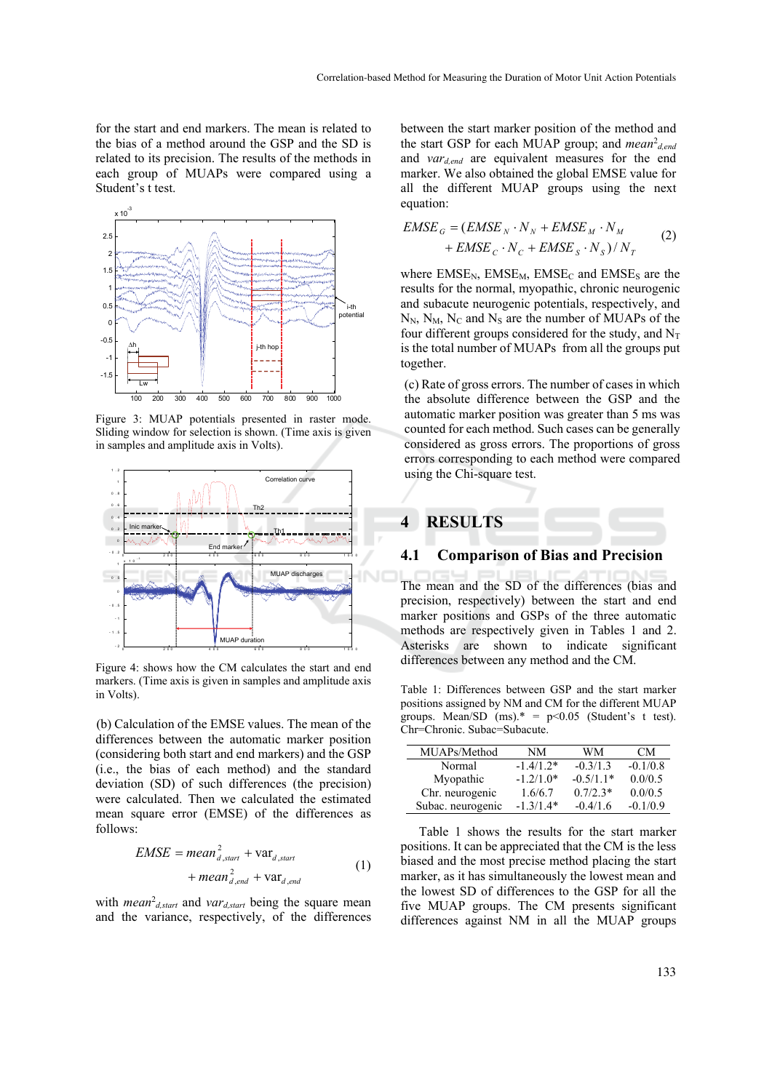for the start and end markers. The mean is related to the bias of a method around the GSP and the SD is related to its precision. The results of the methods in each group of MUAPs were compared using a Student's t test.



Figure 3: MUAP potentials presented in raster mode. Sliding window for selection is shown. (Time axis is given in samples and amplitude axis in Volts).



Figure 4: shows how the CM calculates the start and end markers. (Time axis is given in samples and amplitude axis in Volts).

(b) Calculation of the EMSE values. The mean of the differences between the automatic marker position (considering both start and end markers) and the GSP (i.e., the bias of each method) and the standard deviation (SD) of such differences (the precision) were calculated. Then we calculated the estimated mean square error (EMSE) of the differences as follows:

$$
EMSE = mean_{d, start}^{2} + var_{d, start}
$$
  
+ mean\_{d, end}^{2} + var\_{d, end} (1)

with *mean<sup>2</sup>*<sub>d,start</sub> and *var*<sub>d,start</sub> being the square mean and the variance, respectively, of the differences

between the start marker position of the method and the start GSP for each MUAP group; and *mean<sup>2</sup>d,end*</sup> and *vard,end* are equivalent measures for the end marker. We also obtained the global EMSE value for all the different MUAP groups using the next equation:

$$
EMSE_G = (EMSE_N \cdot N_N + EMSE_M \cdot N_M + EMSE_G \cdot N_C + EMSE_S \cdot N_S) / N_T
$$
 (2)

where  $EMSE<sub>N</sub>$ ,  $EMSE<sub>M</sub>$ ,  $EMSE<sub>C</sub>$  and  $EMSE<sub>S</sub>$  are the results for the normal, myopathic, chronic neurogenic and subacute neurogenic potentials, respectively, and  $N_N$ ,  $N_M$ ,  $N_C$  and  $N_S$  are the number of MUAPs of the four different groups considered for the study, and  $N_T$ is the total number of MUAPs from all the groups put together.

(c) Rate of gross errors. The number of cases in which the absolute difference between the GSP and the automatic marker position was greater than 5 ms was counted for each method. Such cases can be generally considered as gross errors. The proportions of gross errors corresponding to each method were compared using the Chi-square test.



#### **4.1 Comparison of Bias and Precision**

The mean and the SD of the differences (bias and precision, respectively) between the start and end marker positions and GSPs of the three automatic methods are respectively given in Tables 1 and 2. Asterisks are shown to indicate significant differences between any method and the CM.

Table 1: Differences between GSP and the start marker positions assigned by NM and CM for the different MUAP groups. Mean/SD  $(ms)* = p<0.05$  (Student's t test). Chr=Chronic. Subac=Subacute.

| MUAPs/Method      | NΜ          | WМ          | CM.        |
|-------------------|-------------|-------------|------------|
| Normal            | $-1.4/1.2*$ | $-0.3/1.3$  | $-0.1/0.8$ |
| Myopathic         | $-1.2/1.0*$ | $-0.5/1.1*$ | 0.0/0.5    |
| Chr. neurogenic   | 1.6/6.7     | $0.7/2.3*$  | 0.0/0.5    |
| Subac. neurogenic | $-1.3/1.4*$ | $-0.4/1.6$  | $-0.1/0.9$ |

Table 1 shows the results for the start marker positions. It can be appreciated that the CM is the less biased and the most precise method placing the start marker, as it has simultaneously the lowest mean and the lowest SD of differences to the GSP for all the five MUAP groups. The CM presents significant differences against NM in all the MUAP groups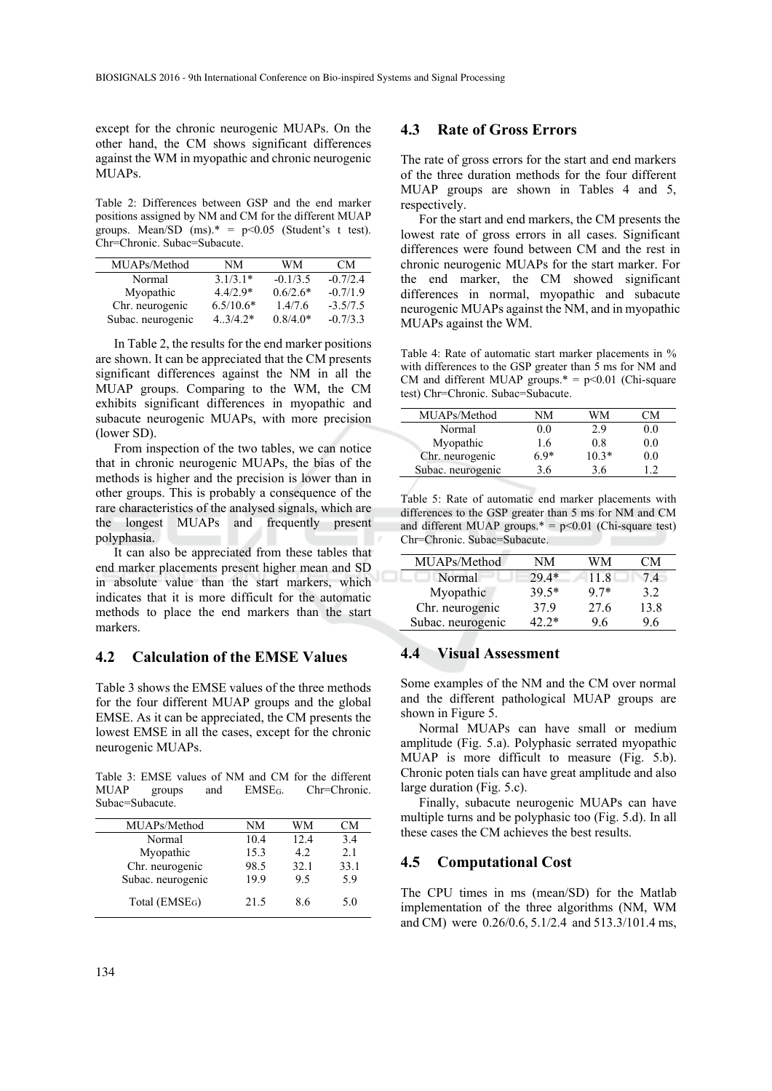except for the chronic neurogenic MUAPs. On the other hand, the CM shows significant differences against the WM in myopathic and chronic neurogenic MUAPs.

Table 2: Differences between GSP and the end marker positions assigned by NM and CM for the different MUAP groups. Mean/SD  $(ms)* = p<0.05$  (Student's t test). Chr=Chronic. Subac=Subacute.

| MUAPs/Method      | NM                   | WМ         | CM.        |
|-------------------|----------------------|------------|------------|
| Normal            | $3.1/3.1*$           | $-0.1/3.5$ | $-0.7/2.4$ |
| Myopathic         | $4.4/2.9*$           | $0.6/2.6*$ | $-0.7/1.9$ |
| Chr. neurogenic   | $6.5/10.6*$          | 1.4/7.6    | $-3.5/7.5$ |
| Subac. neurogenic | $4 \frac{3}{4}$ $2*$ | $0.8/4.0*$ | $-0.7/3.3$ |

In Table 2, the results for the end marker positions are shown. It can be appreciated that the CM presents significant differences against the NM in all the MUAP groups. Comparing to the WM, the CM exhibits significant differences in myopathic and subacute neurogenic MUAPs, with more precision (lower SD).

From inspection of the two tables, we can notice that in chronic neurogenic MUAPs, the bias of the methods is higher and the precision is lower than in other groups. This is probably a consequence of the rare characteristics of the analysed signals, which are the longest MUAPs and frequently present polyphasia.

It can also be appreciated from these tables that end marker placements present higher mean and SD in absolute value than the start markers, which indicates that it is more difficult for the automatic methods to place the end markers than the start markers.

### **4.2 Calculation of the EMSE Values**

Table 3 shows the EMSE values of the three methods for the four different MUAP groups and the global EMSE. As it can be appreciated, the CM presents the lowest EMSE in all the cases, except for the chronic neurogenic MUAPs.

Table 3: EMSE values of NM and CM for the different  $MUAP$  groups and  $EMSE<sub>G</sub>$ . Chr=Chronic. Subac=Subacute.

| NΜ   | WМ   | CМ   |
|------|------|------|
| 10.4 | 12.4 | 3.4  |
| 15.3 | 42   | 2.1  |
| 98.5 | 32.1 | 33.1 |
| 19.9 | 95   | 5.9  |
| 21.5 | 86   | 5.0  |
|      |      |      |

#### **4.3 Rate of Gross Errors**

The rate of gross errors for the start and end markers of the three duration methods for the four different MUAP groups are shown in Tables 4 and 5, respectively.

For the start and end markers, the CM presents the lowest rate of gross errors in all cases. Significant differences were found between CM and the rest in chronic neurogenic MUAPs for the start marker. For the end marker, the CM showed significant differences in normal, myopathic and subacute neurogenic MUAPs against the NM, and in myopathic MUAPs against the WM.

Table 4: Rate of automatic start marker placements in % with differences to the GSP greater than 5 ms for NM and CM and different MUAP groups. $* = p \le 0.01$  (Chi-square test) Chr=Chronic. Subac=Subacute.

| NΜ  | WМ      | 'N      |
|-----|---------|---------|
| 0.0 | 2.9     | $0.0\,$ |
| 1.6 | 0.8     | 0.0     |
| 69* | $10.3*$ | 0.0     |
| 3.6 | 3.6     |         |
|     |         |         |

Table 5: Rate of automatic end marker placements with differences to the GSP greater than 5 ms for NM and CM and different MUAP groups. $* = p < 0.01$  (Chi-square test) Chr=Chronic. Subac=Subacute.

| MUAPs/Method      | NM      | WМ     | CМ   |
|-------------------|---------|--------|------|
| Normal            | $29.4*$ | 11.8   | 74   |
| Myopathic         | $39.5*$ | $9.7*$ | 32   |
| Chr. neurogenic   | 379     | 27.6   | 13.8 |
| Subac. neurogenic | $42.2*$ | 96     | 96   |

## **4.4 Visual Assessment**

Some examples of the NM and the CM over normal and the different pathological MUAP groups are shown in Figure 5.

Normal MUAPs can have small or medium amplitude (Fig. 5.a). Polyphasic serrated myopathic MUAP is more difficult to measure (Fig. 5.b). Chronic poten tials can have great amplitude and also large duration (Fig. 5.c).

Finally, subacute neurogenic MUAPs can have multiple turns and be polyphasic too (Fig. 5.d). In all these cases the CM achieves the best results.

#### **4.5 Computational Cost**

The CPU times in ms (mean/SD) for the Matlab implementation of the three algorithms (NM, WM and CM) were 0.26/0.6, 5.1/2.4 and 513.3/101.4 ms,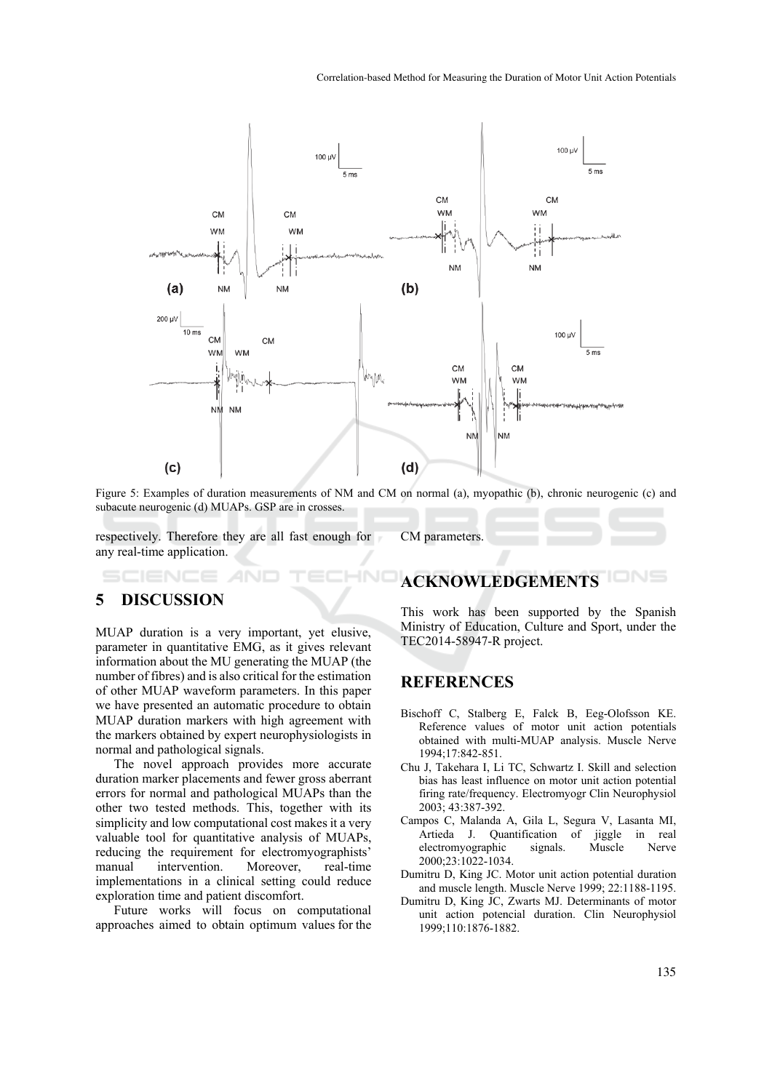

Figure 5: Examples of duration measurements of NM and CM on normal (a), myopathic (b), chronic neurogenic (c) and subacute neurogenic (d) MUAPs. GSP are in crosses.

 $\neg N$ 

respectively. Therefore they are all fast enough for any real-time application.

CM parameters.

# **5 DISCUSSION**

MUAP duration is a very important, yet elusive, parameter in quantitative EMG, as it gives relevant information about the MU generating the MUAP (the number of fibres) and is also critical for the estimation of other MUAP waveform parameters. In this paper we have presented an automatic procedure to obtain MUAP duration markers with high agreement with the markers obtained by expert neurophysiologists in normal and pathological signals.

The novel approach provides more accurate duration marker placements and fewer gross aberrant errors for normal and pathological MUAPs than the other two tested methods. This, together with its simplicity and low computational cost makes it a very valuable tool for quantitative analysis of MUAPs, reducing the requirement for electromyographists' manual intervention. Moreover, real-time implementations in a clinical setting could reduce exploration time and patient discomfort.

Future works will focus on computational approaches aimed to obtain optimum values for the

# **ACKNOWLEDGEMENTS**

This work has been supported by the Spanish Ministry of Education, Culture and Sport, under the TEC2014-58947-R project.

### **REFERENCES**

- Bischoff C, Stalberg E, Falck B, Eeg-Olofsson KE. Reference values of motor unit action potentials obtained with multi-MUAP analysis. Muscle Nerve 1994;17:842-851.
- Chu J, Takehara I, Li TC, Schwartz I. Skill and selection bias has least influence on motor unit action potential firing rate/frequency. Electromyogr Clin Neurophysiol 2003; 43:387-392.
- Campos C, Malanda A, Gila L, Segura V, Lasanta MI, Artieda J. Quantification of jiggle in real<br>electromyographic signals. Muscle Nerve electromyographic signals. Muscle 2000;23:1022-1034.
- Dumitru D, King JC. Motor unit action potential duration and muscle length. Muscle Nerve 1999; 22:1188-1195.
- Dumitru D, King JC, Zwarts MJ. Determinants of motor unit action potencial duration. Clin Neurophysiol 1999;110:1876-1882.